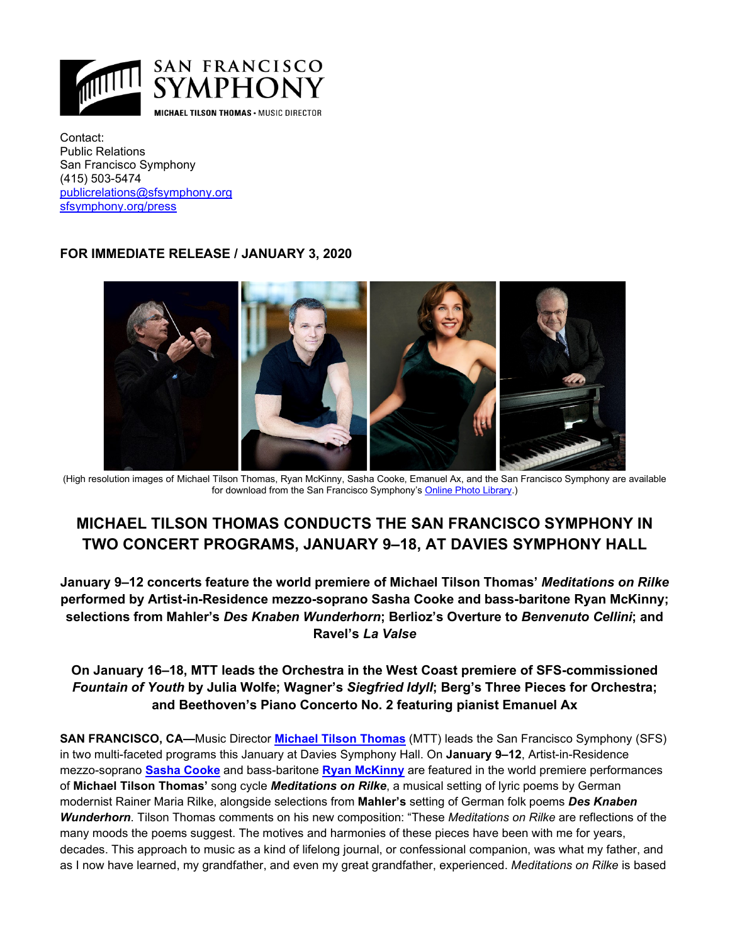

Contact: Public Relations San Francisco Symphony (415) 503-5474 [publicrelations@sfsymphony.org](mailto:publicrelations@sfsymphony.org)  [sfsymphony.org/press](http://sfsymphony.org/press)

### **FOR IMMEDIATE RELEASE / JANUARY 3, 2020**



(High resolution images of Michael Tilson Thomas, Ryan McKinny, Sasha Cooke, Emanuel Ax, and the San Francisco Symphony are available for download from the San Francisco Symphony'[s Online Photo Library.\)](http://www.sfsymphony.org/About-Us/Press-Room/Photo-Library)

# **MICHAEL TILSON THOMAS CONDUCTS THE SAN FRANCISCO SYMPHONY IN TWO CONCERT PROGRAMS, JANUARY 9–18, AT DAVIES SYMPHONY HALL**

**January 9–12 concerts feature the world premiere of Michael Tilson Thomas'** *Meditations on Rilke*  **performed by Artist-in-Residence mezzo-soprano Sasha Cooke and bass-baritone Ryan McKinny; selections from Mahler's** *Des Knaben Wunderhorn***; Berlioz's Overture to** *Benvenuto Cellini***; and Ravel's** *La Valse*

## **On January 16–18, MTT leads the Orchestra in the West Coast premiere of SFS-commissioned**  *Fountain of Youth* **by Julia Wolfe; Wagner's** *Siegfried Idyll***; Berg's Three Pieces for Orchestra; and Beethoven's Piano Concerto No. 2 featuring pianist Emanuel Ax**

**SAN FRANCISCO, CA—**Music Director **[Michael Tilson Thomas](https://www.sfsymphony.org/About-Us/Michael-Tilson-Thomas)** (MTT) leads the San Francisco Symphony (SFS) in two multi-faceted programs this January at Davies Symphony Hall. On **January 9–12**, Artist-in-Residence mezzo-soprano **Sasha [Cooke](https://imgartists.com/roster/sasha-cooke/)** and bass-baritone **[Ryan McKinny](https://ryanmckinny.com/biography/)** are featured in the world premiere performances of **Michael Tilson Thomas'** song cycle *Meditations on Rilke*, a musical setting of lyric poems by German modernist Rainer Maria Rilke, alongside selections from **Mahler's** setting of German folk poems *Des Knaben Wunderhorn*. Tilson Thomas comments on his new composition: "These *Meditations on Rilke* are reflections of the many moods the poems suggest. The motives and harmonies of these pieces have been with me for years, decades. This approach to music as a kind of lifelong journal, or confessional companion, was what my father, and as I now have learned, my grandfather, and even my great grandfather, experienced. *Meditations on Rilke* is based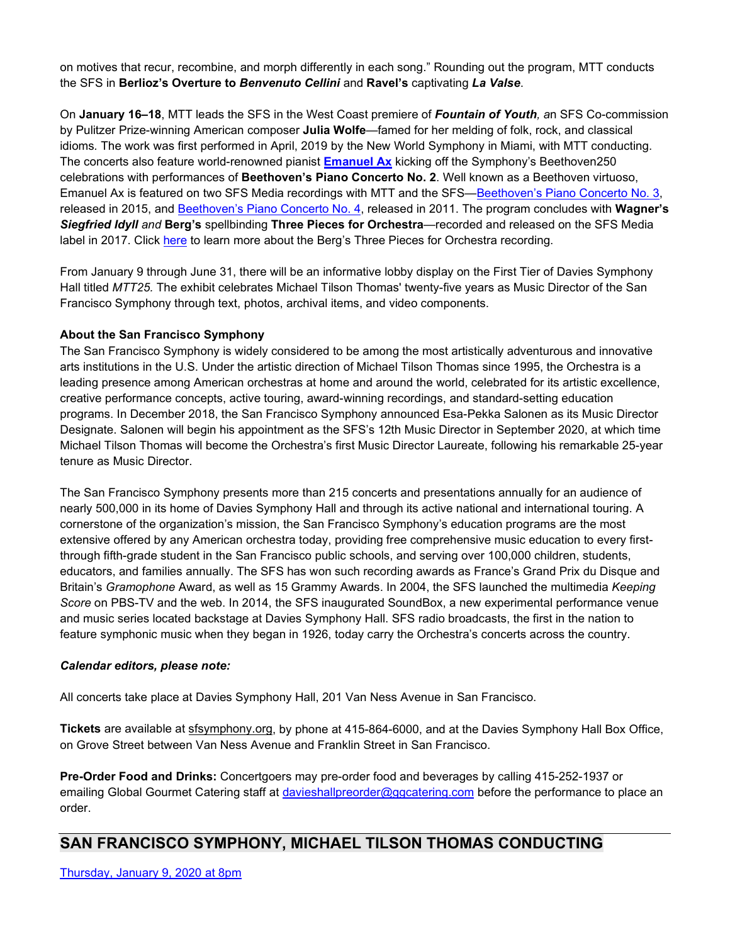on motives that recur, recombine, and morph differently in each song." Rounding out the program, MTT conducts the SFS in **Berlioz's Overture to** *Benvenuto Cellini* and **Ravel's** captivating *La Valse*.

On **January 16–18**, MTT leads the SFS in the West Coast premiere of *Fountain of Youth, a*n SFS Co-commission by Pulitzer Prize-winning American composer **Julia Wolfe**—famed for her melding of folk, rock, and classical idioms*.* The work was first performed in April, 2019 by the New World Symphony in Miami, with MTT conducting. The concerts also feature world-renowned pianist **[Emanuel Ax](https://emanuelax.com/about/)** kicking off the Symphony's Beethoven250 celebrations with performances of **Beethoven's Piano Concerto No. 2**. Well known as a Beethoven virtuoso, Emanuel Ax is featured on two SFS Media recordings with MTT and the SFS[—Beethoven's Piano Concerto No. 3,](https://www.warnerclassics.com/release/beethoven-piano-concerto-no-3-mass-c) released in 2015, and [Beethoven's Piano Concerto No. 4,](https://www.warnerclassics.com/release/beethoven-symphony-no-5-piano-concerto-no-4) released in 2011. The program concludes with **Wagner's**  *Siegfried Idyll and* **Berg's** spellbinding **Three Pieces for Orchestra**—recorded and released on the SFS Media label in 2017. Click [here](https://www.sfsymphony.org/berg) to learn more about the Berg's Three Pieces for Orchestra recording.

From January 9 through June 31, there will be an informative lobby display on the First Tier of Davies Symphony Hall titled *MTT25.* The exhibit celebrates Michael Tilson Thomas' twenty-five years as Music Director of the San Francisco Symphony through text, photos, archival items, and video components.

### **About the San Francisco Symphony**

The San Francisco Symphony is widely considered to be among the most artistically adventurous and innovative arts institutions in the U.S. Under the artistic direction of Michael Tilson Thomas since 1995, the Orchestra is a leading presence among American orchestras at home and around the world, celebrated for its artistic excellence, creative performance concepts, active touring, award-winning recordings, and standard-setting education programs. In December 2018, the San Francisco Symphony announced Esa-Pekka Salonen as its Music Director Designate. Salonen will begin his appointment as the SFS's 12th Music Director in September 2020, at which time Michael Tilson Thomas will become the Orchestra's first Music Director Laureate, following his remarkable 25-year tenure as Music Director.

The San Francisco Symphony presents more than 215 concerts and presentations annually for an audience of nearly 500,000 in its home of Davies Symphony Hall and through its active national and international touring. A cornerstone of the organization's mission, the San Francisco Symphony's education programs are the most extensive offered by any American orchestra today, providing free comprehensive music education to every firstthrough fifth-grade student in the San Francisco public schools, and serving over 100,000 children, students, educators, and families annually. The SFS has won such recording awards as France's Grand Prix du Disque and Britain's *Gramophone* Award, as well as 15 Grammy Awards. In 2004, the SFS launched the multimedia *Keeping Score* on PBS-TV and the web. In 2014, the SFS inaugurated SoundBox, a new experimental performance venue and music series located backstage at Davies Symphony Hall. SFS radio broadcasts, the first in the nation to feature symphonic music when they began in 1926, today carry the Orchestra's concerts across the country.

#### *Calendar editors, please note:*

All concerts take place at Davies Symphony Hall, 201 Van Ness Avenue in San Francisco.

**Tickets** are available at [sfsymphony.org,](http://sfsymphony.org/) by phone at 415-864-6000, and at the Davies Symphony Hall Box Office, on Grove Street between Van Ness Avenue and Franklin Street in San Francisco.

**Pre-Order Food and Drinks:** Concertgoers may pre-order food and beverages by calling 415-252-1937 or emailing Global Gourmet Catering staff at [davieshallpreorder@ggcatering.com](mailto:davieshallpreorder@ggcatering.com) before the performance to place an order.

## **SAN FRANCISCO SYMPHONY, MICHAEL TILSON THOMAS CONDUCTING**

[Thursday, January 9, 2020 at 8pm](https://www.sfsymphony.org/Buy-Tickets/2019-20/MTT-Mahler-Love-Lyricism.aspx)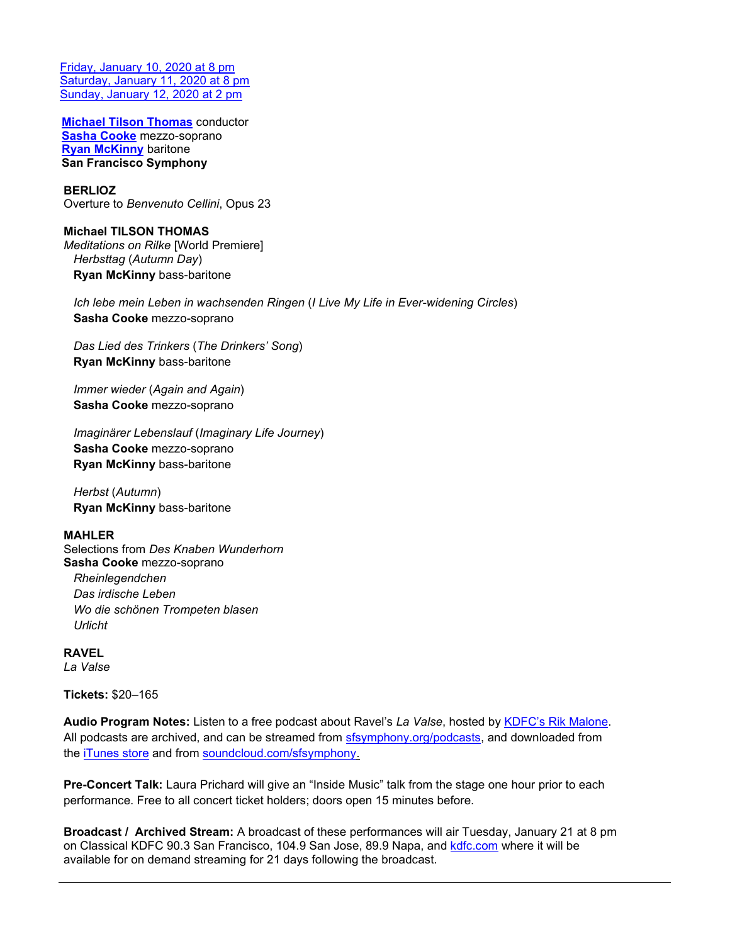[Friday, January 10, 2020 at 8 pm](https://www.sfsymphony.org/Buy-Tickets/2019-20/MTT-Mahler-Love-Lyricism.aspx) [Saturday, January 11, 2020 at 8 pm](https://www.sfsymphony.org/Buy-Tickets/2019-20/MTT-Mahler-Love-Lyricism.aspx) [Sunday, January 12, 2020 at 2 pm](https://www.sfsymphony.org/Buy-Tickets/2019-20/MTT-Mahler-Love-Lyricism.aspx)

**[Michael Tilson Thomas](https://www.sfsymphony.org/About-Us/Michael-Tilson-Thomas)** conductor **[Sasha Cooke](https://imgartists.com/roster/sasha-cooke/)** mezzo-soprano **[Ryan McKinny](https://ryanmckinny.com/biography/)** baritone **San Francisco Symphony**

### **BERLIOZ**

Overture to *Benvenuto Cellini*, Opus 23

**Michael TILSON THOMAS** *Meditations on Rilke* [World Premiere]  *Herbsttag* (*Autumn Day*)  **Ryan McKinny** bass-baritone

 *Ich lebe mein Leben in wachsenden Ringen* (*I Live My Life in Ever-widening Circles*)  **Sasha Cooke** mezzo-soprano

 *Das Lied des Trinkers* (*The Drinkers' Song*)  **Ryan McKinny** bass-baritone

 *Immer wieder* (*Again and Again*)  **Sasha Cooke** mezzo-soprano

 *Imaginärer Lebenslauf* (*Imaginary Life Journey*)  **Sasha Cooke** mezzo-soprano  **Ryan McKinny** bass-baritone

 *Herbst* (*Autumn*)  **Ryan McKinny** bass-baritone

#### **MAHLER**

Selections from *Des Knaben Wunderhorn* **Sasha Cooke** mezzo-soprano  *Rheinlegendchen Das irdische Leben*

 *Wo die schönen Trompeten blasen Urlicht*

**RAVEL** *La Valse*

**Tickets:** \$20–165

**Audio Program Notes:** Listen to a free podcast about Ravel's *La Valse*, hosted by [KDFC's Rik Malone.](http://www.kdfc.com/pages/9209964.php/?#Rik)  All podcasts are archived, and can be streamed from [sfsymphony.org/podcasts,](http://www.sfsymphony.org/Watch-Listen-Learn/Podcasts-and-Music/Hear-Podcasts-and-Mu.aspx) and downloaded from the [iTunes store](https://itunes.apple.com/us/podcast/san-francisco-symphony-podcasts/id385321784) and from [soundcloud.com/sfsymphony.](https://soundcloud.com/sfsymphony)

**Pre-Concert Talk:** Laura Prichard will give an "Inside Music" talk from the stage one hour prior to each performance. Free to all concert ticket holders; doors open 15 minutes before.

**Broadcast / Archived Stream:** A broadcast of these performances will air Tuesday, January 21 at 8 pm on Classical KDFC 90.3 San Francisco, 104.9 San Jose, 89.9 Napa, and [kdfc.com](http://www.kdfc.com/pages/15764589.php) where it will be available for on demand streaming for 21 days following the broadcast.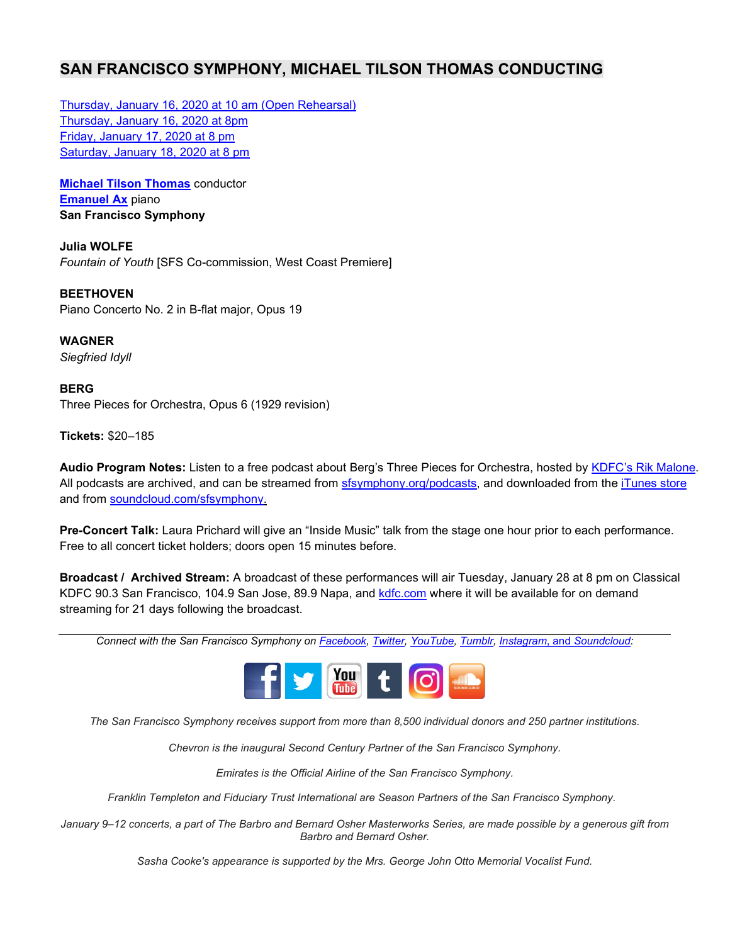# **SAN FRANCISCO SYMPHONY, MICHAEL TILSON THOMAS CONDUCTING**

[Thursday, January 16, 2020 at 10 am \(Open Rehearsal\)](https://www.sfsymphony.org/Buy-Tickets/2019-20/Open-Rehersal-Beethoven250-MTT-Emanuel-Ax-Bee.aspx) [Thursday, January 16, 2020 at 8pm](https://www.sfsymphony.org/Buy-Tickets/2019-20/Beethoven250-MTT-Emanuel-Ax-Beethoven-Julia.aspx) [Friday, January 17, 2020 at 8 pm](https://www.sfsymphony.org/Buy-Tickets/2019-20/Beethoven250-MTT-Emanuel-Ax-Beethoven-Julia.aspx) [Saturday, January 18, 2020 at 8 pm](https://www.sfsymphony.org/Buy-Tickets/2019-20/Beethoven250-MTT-Emanuel-Ax-Beethoven-Julia.aspx)

**[Michael Tilson Thomas](https://www.sfsymphony.org/About-Us/Michael-Tilson-Thomas)** conductor **[Emanuel Ax](https://emanuelax.com/about/)** piano **San Francisco Symphony**

**Julia WOLFE** *Fountain of Youth* [SFS Co-commission, West Coast Premiere]

**BEETHOVEN** Piano Concerto No. 2 in B-flat major, Opus 19

**WAGNER** *Siegfried Idyll* 

**BERG** Three Pieces for Orchestra, Opus 6 (1929 revision)

**Tickets:** \$20–185

**Audio Program Notes:** Listen to a free podcast about Berg's Three Pieces for Orchestra, hosted by [KDFC's Rik Malone.](http://www.kdfc.com/pages/9209964.php/?#Rik) All podcasts are archived, and can be streamed from [sfsymphony.org/podcasts,](http://www.sfsymphony.org/Watch-Listen-Learn/Podcasts-and-Music/Hear-Podcasts-and-Mu.aspx) and downloaded from the [iTunes store](https://itunes.apple.com/us/podcast/san-francisco-symphony-podcasts/id385321784) and from [soundcloud.com/sfsymphony.](https://soundcloud.com/sfsymphony) 

**Pre-Concert Talk:** Laura Prichard will give an "Inside Music" talk from the stage one hour prior to each performance. Free to all concert ticket holders; doors open 15 minutes before.

**Broadcast / Archived Stream:** A broadcast of these performances will air Tuesday, January 28 at 8 pm on Classical KDFC 90.3 San Francisco, 104.9 San Jose, 89.9 Napa, and [kdfc.com](http://www.kdfc.com/pages/15764589.php) where it will be available for on demand streaming for 21 days following the broadcast.

*Connect with the San Francisco Symphony o[n Facebook,](http://facebook.com/sfsymphony) [Twitter,](http://twitter.com/sfsymphony) [YouTube,](http://www.youtube.com/user/sfsymphony) [Tumblr,](http://sfsymphony.tumblr.com/) [Instagram](http://instagram.com/sfsymphony)*, and *[Soundcloud:](https://soundcloud.com/sfsymphony)*



*The San Francisco Symphony receives support from more than 8,500 individual donors and 250 partner institutions.*

*Chevron is the inaugural Second Century Partner of the San Francisco Symphony.*

*Emirates is the Official Airline of the San Francisco Symphony.*

*Franklin Templeton and Fiduciary Trust International are Season Partners of the San Francisco Symphony.*

January 9–12 concerts, a part of The Barbro and Bernard Osher Masterworks Series, are made possible by a generous gift from *Barbro and Bernard Osher.*

*Sasha Cooke's appearance is supported by the Mrs. George John Otto Memorial Vocalist Fund.*